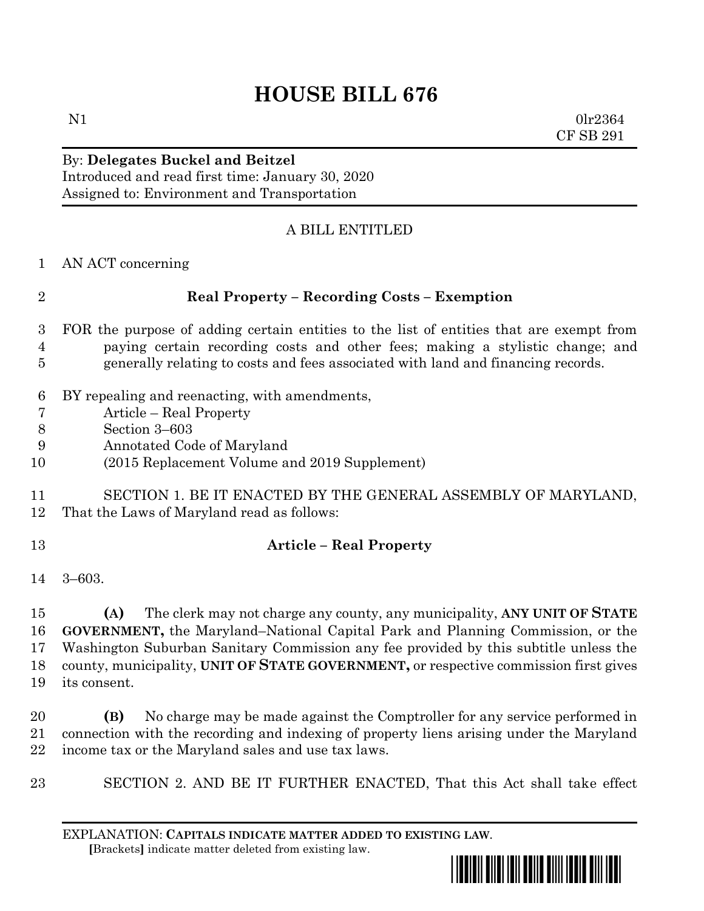## **HOUSE BILL 676**

N1 0lr2364 CF SB 291

## By: **Delegates Buckel and Beitzel** Introduced and read first time: January 30, 2020

Assigned to: Environment and Transportation

## A BILL ENTITLED

- AN ACT concerning **Real Property – Recording Costs – Exemption** FOR the purpose of adding certain entities to the list of entities that are exempt from paying certain recording costs and other fees; making a stylistic change; and generally relating to costs and fees associated with land and financing records.
	- BY repealing and reenacting, with amendments,
	- Article Real Property
	- Section 3–603
	- Annotated Code of Maryland
- (2015 Replacement Volume and 2019 Supplement)
- SECTION 1. BE IT ENACTED BY THE GENERAL ASSEMBLY OF MARYLAND, That the Laws of Maryland read as follows:
- 

## **Article – Real Property**

3–603.

 **(A)** The clerk may not charge any county, any municipality, **ANY UNIT OF STATE GOVERNMENT,** the Maryland–National Capital Park and Planning Commission, or the Washington Suburban Sanitary Commission any fee provided by this subtitle unless the county, municipality, **UNIT OF STATE GOVERNMENT,** or respective commission first gives its consent.

- **(B)** No charge may be made against the Comptroller for any service performed in connection with the recording and indexing of property liens arising under the Maryland income tax or the Maryland sales and use tax laws.
- SECTION 2. AND BE IT FURTHER ENACTED, That this Act shall take effect

EXPLANATION: **CAPITALS INDICATE MATTER ADDED TO EXISTING LAW**.  **[**Brackets**]** indicate matter deleted from existing law.